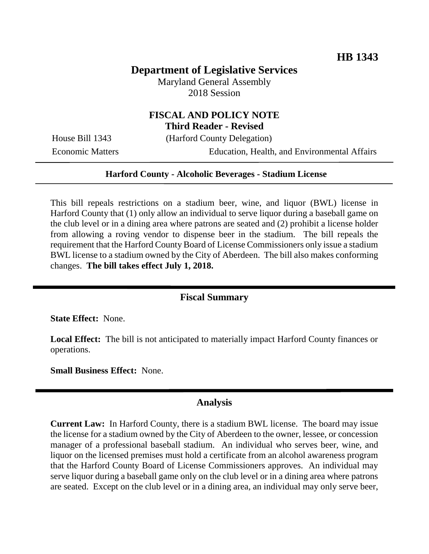# **Department of Legislative Services**

Maryland General Assembly 2018 Session

## **FISCAL AND POLICY NOTE Third Reader - Revised**

House Bill 1343 (Harford County Delegation)

Economic Matters Education, Health, and Environmental Affairs

#### **Harford County - Alcoholic Beverages - Stadium License**

This bill repeals restrictions on a stadium beer, wine, and liquor (BWL) license in Harford County that (1) only allow an individual to serve liquor during a baseball game on the club level or in a dining area where patrons are seated and (2) prohibit a license holder from allowing a roving vendor to dispense beer in the stadium. The bill repeals the requirement that the Harford County Board of License Commissioners only issue a stadium BWL license to a stadium owned by the City of Aberdeen. The bill also makes conforming changes. **The bill takes effect July 1, 2018.**

## **Fiscal Summary**

**State Effect:** None.

**Local Effect:** The bill is not anticipated to materially impact Harford County finances or operations.

**Small Business Effect:** None.

#### **Analysis**

**Current Law:** In Harford County, there is a stadium BWL license. The board may issue the license for a stadium owned by the City of Aberdeen to the owner, lessee, or concession manager of a professional baseball stadium. An individual who serves beer, wine, and liquor on the licensed premises must hold a certificate from an alcohol awareness program that the Harford County Board of License Commissioners approves. An individual may serve liquor during a baseball game only on the club level or in a dining area where patrons are seated. Except on the club level or in a dining area, an individual may only serve beer,